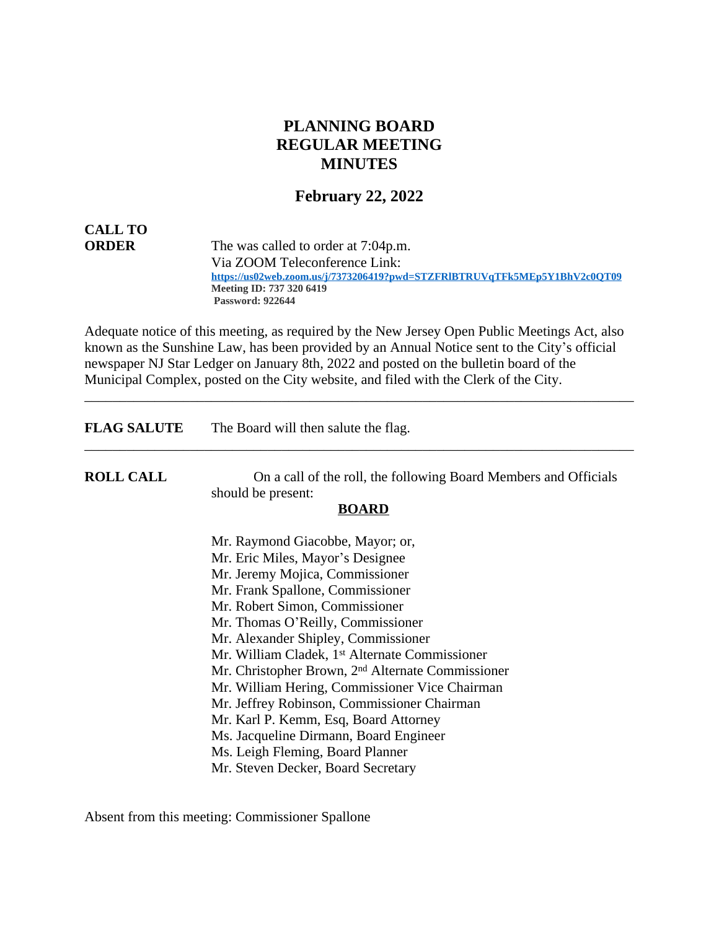# **PLANNING BOARD REGULAR MEETING MINUTES**

## **February 22, 2022**

# **CALL TO**

**ORDER** The was called to order at 7:04p.m. Via ZOOM Teleconference Link:  **<https://us02web.zoom.us/j/7373206419?pwd=STZFRlBTRUVqTFk5MEp5Y1BhV2c0QT09> Meeting ID: 737 320 6419 Password: 922644**

Adequate notice of this meeting, as required by the New Jersey Open Public Meetings Act, also known as the Sunshine Law, has been provided by an Annual Notice sent to the City's official newspaper NJ Star Ledger on January 8th, 2022 and posted on the bulletin board of the Municipal Complex, posted on the City website, and filed with the Clerk of the City.

\_\_\_\_\_\_\_\_\_\_\_\_\_\_\_\_\_\_\_\_\_\_\_\_\_\_\_\_\_\_\_\_\_\_\_\_\_\_\_\_\_\_\_\_\_\_\_\_\_\_\_\_\_\_\_\_\_\_\_\_\_\_\_\_\_\_\_\_\_\_\_\_\_\_\_\_\_\_

| <b>FLAG SALUTE</b> | The Board will then salute the flag.                             |
|--------------------|------------------------------------------------------------------|
| <b>ROLL CALL</b>   | On a call of the roll, the following Board Members and Officials |
|                    | should be present:<br><b>BOARD</b>                               |
|                    | Mr. Raymond Giacobbe, Mayor; or,                                 |
|                    | Mr. Eric Miles, Mayor's Designee                                 |
|                    | Mr. Jeremy Mojica, Commissioner                                  |
|                    | Mr. Frank Spallone, Commissioner                                 |
|                    | Mr. Robert Simon, Commissioner                                   |
|                    | Mr. Thomas O'Reilly, Commissioner                                |
|                    | Mr. Alexander Shipley, Commissioner                              |
|                    | Mr. William Cladek, 1 <sup>st</sup> Alternate Commissioner       |
|                    | Mr. Christopher Brown, 2 <sup>nd</sup> Alternate Commissioner    |
|                    | Mr. William Hering, Commissioner Vice Chairman                   |
|                    | Mr. Jeffrey Robinson, Commissioner Chairman                      |
|                    | Mr. Karl P. Kemm, Esq, Board Attorney                            |
|                    | Ms. Jacqueline Dirmann, Board Engineer                           |
|                    | Ms. Leigh Fleming, Board Planner                                 |
|                    | Mr. Steven Decker, Board Secretary                               |

Absent from this meeting: Commissioner Spallone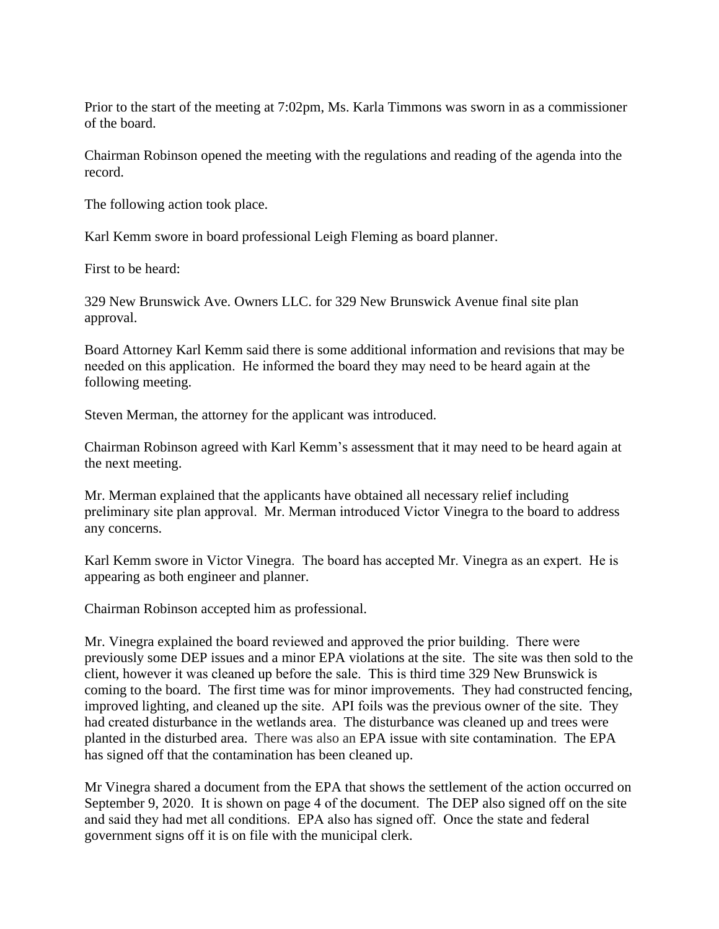Prior to the start of the meeting at 7:02pm, Ms. Karla Timmons was sworn in as a commissioner of the board.

Chairman Robinson opened the meeting with the regulations and reading of the agenda into the record.

The following action took place.

Karl Kemm swore in board professional Leigh Fleming as board planner.

First to be heard:

329 New Brunswick Ave. Owners LLC. for 329 New Brunswick Avenue final site plan approval.

Board Attorney Karl Kemm said there is some additional information and revisions that may be needed on this application. He informed the board they may need to be heard again at the following meeting.

Steven Merman, the attorney for the applicant was introduced.

Chairman Robinson agreed with Karl Kemm's assessment that it may need to be heard again at the next meeting.

Mr. Merman explained that the applicants have obtained all necessary relief including preliminary site plan approval. Mr. Merman introduced Victor Vinegra to the board to address any concerns.

Karl Kemm swore in Victor Vinegra. The board has accepted Mr. Vinegra as an expert. He is appearing as both engineer and planner.

Chairman Robinson accepted him as professional.

Mr. Vinegra explained the board reviewed and approved the prior building. There were previously some DEP issues and a minor EPA violations at the site. The site was then sold to the client, however it was cleaned up before the sale. This is third time 329 New Brunswick is coming to the board. The first time was for minor improvements. They had constructed fencing, improved lighting, and cleaned up the site. API foils was the previous owner of the site. They had created disturbance in the wetlands area. The disturbance was cleaned up and trees were planted in the disturbed area. There was also an EPA issue with site contamination. The EPA has signed off that the contamination has been cleaned up.

Mr Vinegra shared a document from the EPA that shows the settlement of the action occurred on September 9, 2020. It is shown on page 4 of the document. The DEP also signed off on the site and said they had met all conditions. EPA also has signed off. Once the state and federal government signs off it is on file with the municipal clerk.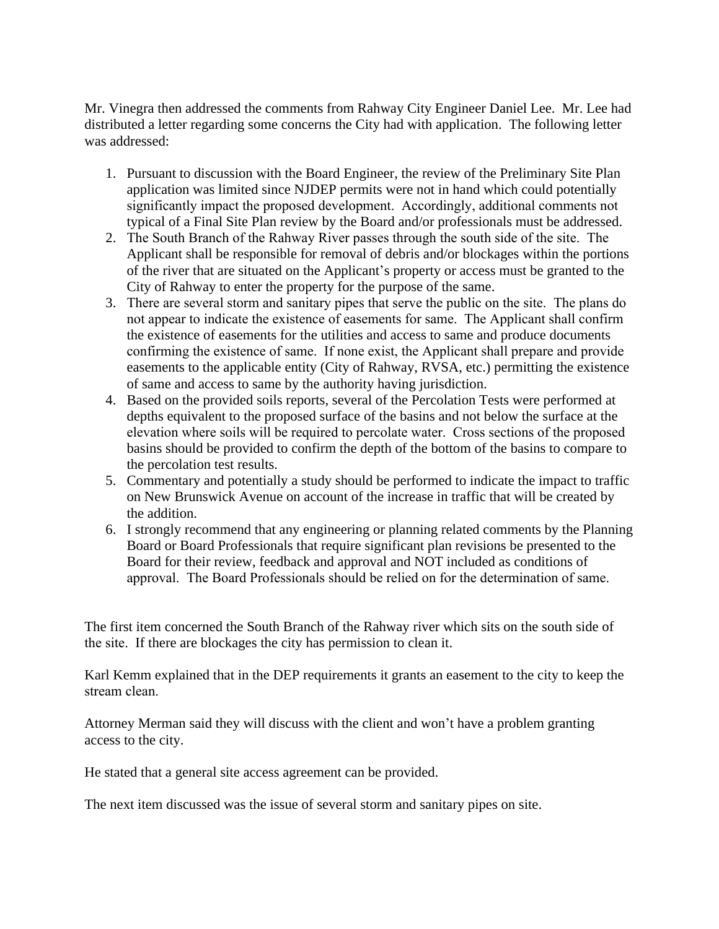Mr. Vinegra then addressed the comments from Rahway City Engineer Daniel Lee. Mr. Lee had distributed a letter regarding some concerns the City had with application. The following letter was addressed:

- 1. Pursuant to discussion with the Board Engineer, the review of the Preliminary Site Plan application was limited since NJDEP permits were not in hand which could potentially significantly impact the proposed development. Accordingly, additional comments not typical of a Final Site Plan review by the Board and/or professionals must be addressed.
- 2. The South Branch of the Rahway River passes through the south side of the site. The Applicant shall be responsible for removal of debris and/or blockages within the portions of the river that are situated on the Applicant's property or access must be granted to the City of Rahway to enter the property for the purpose of the same.
- 3. There are several storm and sanitary pipes that serve the public on the site. The plans do not appear to indicate the existence of easements for same. The Applicant shall confirm the existence of easements for the utilities and access to same and produce documents confirming the existence of same. If none exist, the Applicant shall prepare and provide easements to the applicable entity (City of Rahway, RVSA, etc.) permitting the existence of same and access to same by the authority having jurisdiction.
- 4. Based on the provided soils reports, several of the Percolation Tests were performed at depths equivalent to the proposed surface of the basins and not below the surface at the elevation where soils will be required to percolate water. Cross sections of the proposed basins should be provided to confirm the depth of the bottom of the basins to compare to the percolation test results.
- 5. Commentary and potentially a study should be performed to indicate the impact to traffic on New Brunswick Avenue on account of the increase in traffic that will be created by the addition.
- 6. I strongly recommend that any engineering or planning related comments by the Planning Board or Board Professionals that require significant plan revisions be presented to the Board for their review, feedback and approval and NOT included as conditions of approval. The Board Professionals should be relied on for the determination of same.

The first item concerned the South Branch of the Rahway river which sits on the south side of the site. If there are blockages the city has permission to clean it.

Karl Kemm explained that in the DEP requirements it grants an easement to the city to keep the stream clean.

Attorney Merman said they will discuss with the client and won't have a problem granting access to the city.

He stated that a general site access agreement can be provided.

The next item discussed was the issue of several storm and sanitary pipes on site.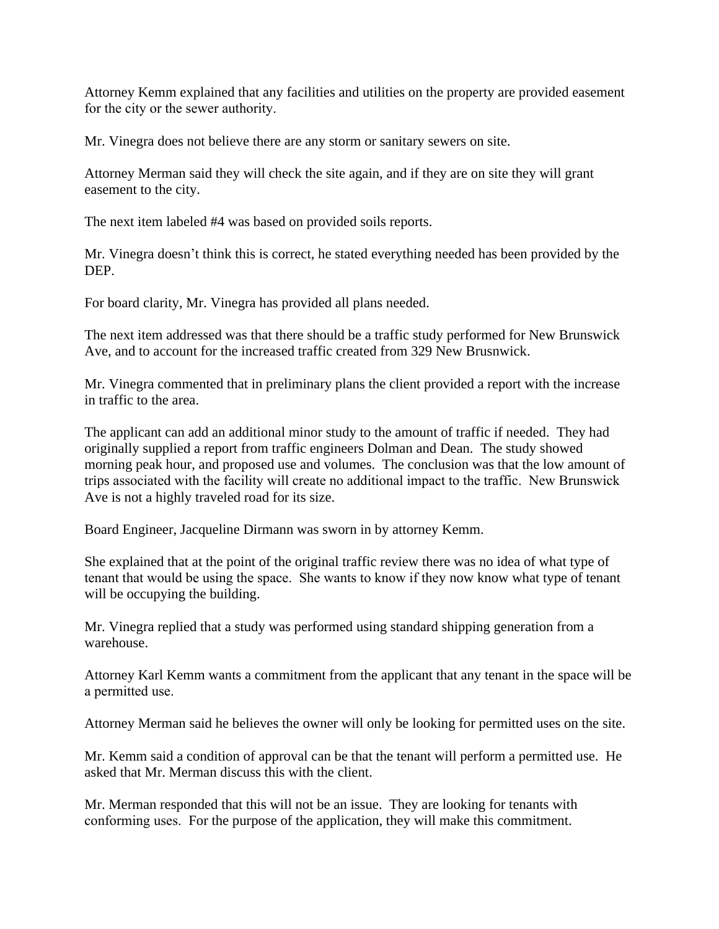Attorney Kemm explained that any facilities and utilities on the property are provided easement for the city or the sewer authority.

Mr. Vinegra does not believe there are any storm or sanitary sewers on site.

Attorney Merman said they will check the site again, and if they are on site they will grant easement to the city.

The next item labeled #4 was based on provided soils reports.

Mr. Vinegra doesn't think this is correct, he stated everything needed has been provided by the DEP.

For board clarity, Mr. Vinegra has provided all plans needed.

The next item addressed was that there should be a traffic study performed for New Brunswick Ave, and to account for the increased traffic created from 329 New Brusnwick.

Mr. Vinegra commented that in preliminary plans the client provided a report with the increase in traffic to the area.

The applicant can add an additional minor study to the amount of traffic if needed. They had originally supplied a report from traffic engineers Dolman and Dean. The study showed morning peak hour, and proposed use and volumes. The conclusion was that the low amount of trips associated with the facility will create no additional impact to the traffic. New Brunswick Ave is not a highly traveled road for its size.

Board Engineer, Jacqueline Dirmann was sworn in by attorney Kemm.

She explained that at the point of the original traffic review there was no idea of what type of tenant that would be using the space. She wants to know if they now know what type of tenant will be occupying the building.

Mr. Vinegra replied that a study was performed using standard shipping generation from a warehouse.

Attorney Karl Kemm wants a commitment from the applicant that any tenant in the space will be a permitted use.

Attorney Merman said he believes the owner will only be looking for permitted uses on the site.

Mr. Kemm said a condition of approval can be that the tenant will perform a permitted use. He asked that Mr. Merman discuss this with the client.

Mr. Merman responded that this will not be an issue. They are looking for tenants with conforming uses. For the purpose of the application, they will make this commitment.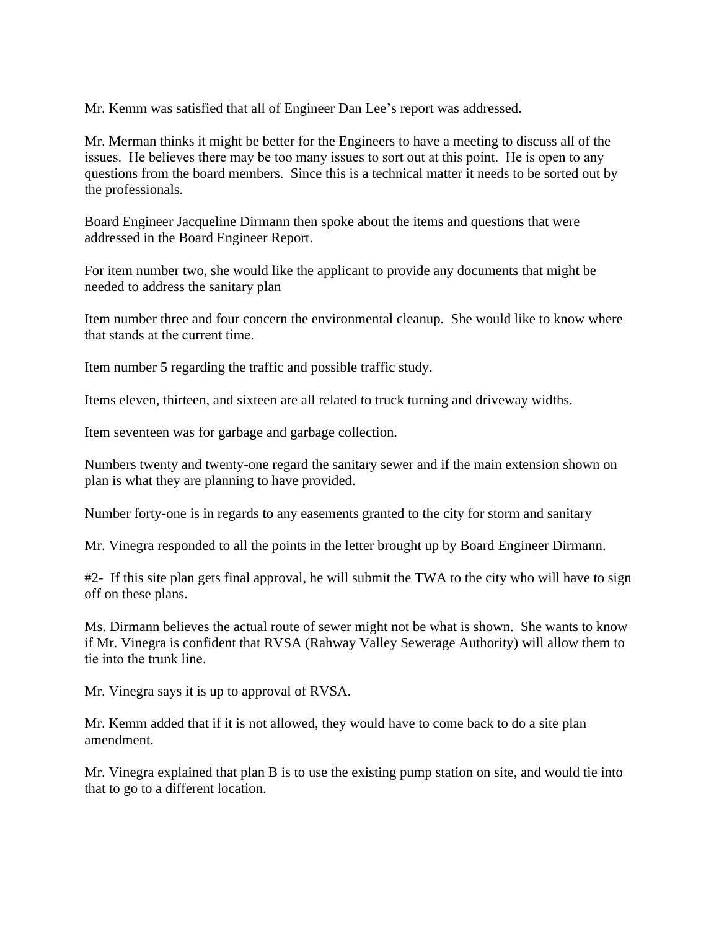Mr. Kemm was satisfied that all of Engineer Dan Lee's report was addressed.

Mr. Merman thinks it might be better for the Engineers to have a meeting to discuss all of the issues. He believes there may be too many issues to sort out at this point. He is open to any questions from the board members. Since this is a technical matter it needs to be sorted out by the professionals.

Board Engineer Jacqueline Dirmann then spoke about the items and questions that were addressed in the Board Engineer Report.

For item number two, she would like the applicant to provide any documents that might be needed to address the sanitary plan

Item number three and four concern the environmental cleanup. She would like to know where that stands at the current time.

Item number 5 regarding the traffic and possible traffic study.

Items eleven, thirteen, and sixteen are all related to truck turning and driveway widths.

Item seventeen was for garbage and garbage collection.

Numbers twenty and twenty-one regard the sanitary sewer and if the main extension shown on plan is what they are planning to have provided.

Number forty-one is in regards to any easements granted to the city for storm and sanitary

Mr. Vinegra responded to all the points in the letter brought up by Board Engineer Dirmann.

#2- If this site plan gets final approval, he will submit the TWA to the city who will have to sign off on these plans.

Ms. Dirmann believes the actual route of sewer might not be what is shown. She wants to know if Mr. Vinegra is confident that RVSA (Rahway Valley Sewerage Authority) will allow them to tie into the trunk line.

Mr. Vinegra says it is up to approval of RVSA.

Mr. Kemm added that if it is not allowed, they would have to come back to do a site plan amendment.

Mr. Vinegra explained that plan B is to use the existing pump station on site, and would tie into that to go to a different location.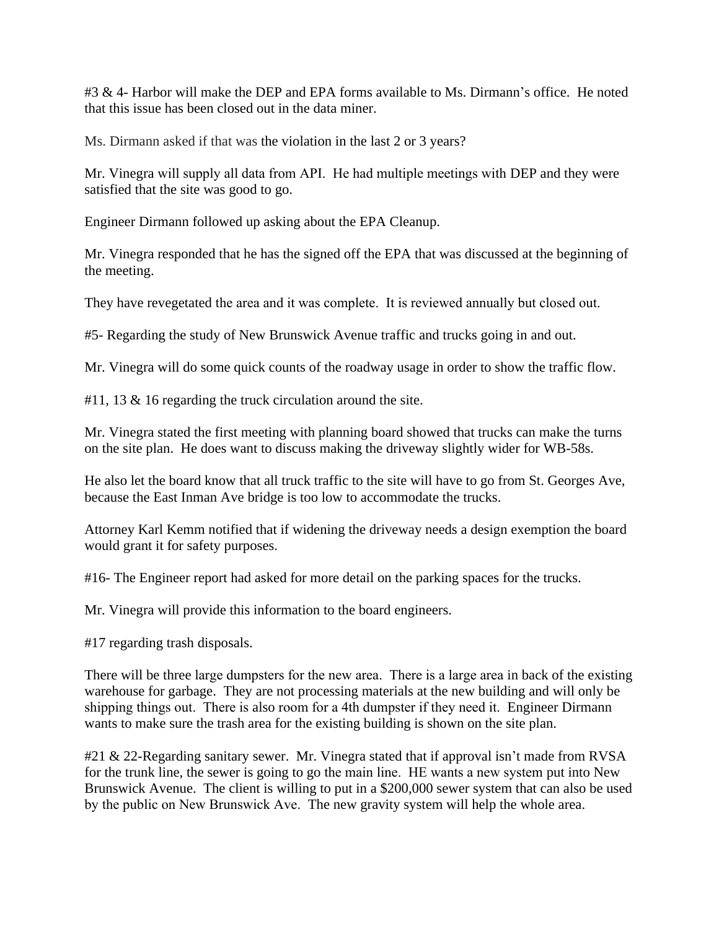#3 & 4- Harbor will make the DEP and EPA forms available to Ms. Dirmann's office. He noted that this issue has been closed out in the data miner.

Ms. Dirmann asked if that was the violation in the last 2 or 3 years?

Mr. Vinegra will supply all data from API. He had multiple meetings with DEP and they were satisfied that the site was good to go.

Engineer Dirmann followed up asking about the EPA Cleanup.

Mr. Vinegra responded that he has the signed off the EPA that was discussed at the beginning of the meeting.

They have revegetated the area and it was complete. It is reviewed annually but closed out.

#5- Regarding the study of New Brunswick Avenue traffic and trucks going in and out.

Mr. Vinegra will do some quick counts of the roadway usage in order to show the traffic flow.

#11, 13 & 16 regarding the truck circulation around the site.

Mr. Vinegra stated the first meeting with planning board showed that trucks can make the turns on the site plan. He does want to discuss making the driveway slightly wider for WB-58s.

He also let the board know that all truck traffic to the site will have to go from St. Georges Ave, because the East Inman Ave bridge is too low to accommodate the trucks.

Attorney Karl Kemm notified that if widening the driveway needs a design exemption the board would grant it for safety purposes.

#16- The Engineer report had asked for more detail on the parking spaces for the trucks.

Mr. Vinegra will provide this information to the board engineers.

#17 regarding trash disposals.

There will be three large dumpsters for the new area. There is a large area in back of the existing warehouse for garbage. They are not processing materials at the new building and will only be shipping things out. There is also room for a 4th dumpster if they need it. Engineer Dirmann wants to make sure the trash area for the existing building is shown on the site plan.

#21 & 22-Regarding sanitary sewer. Mr. Vinegra stated that if approval isn't made from RVSA for the trunk line, the sewer is going to go the main line. HE wants a new system put into New Brunswick Avenue. The client is willing to put in a \$200,000 sewer system that can also be used by the public on New Brunswick Ave. The new gravity system will help the whole area.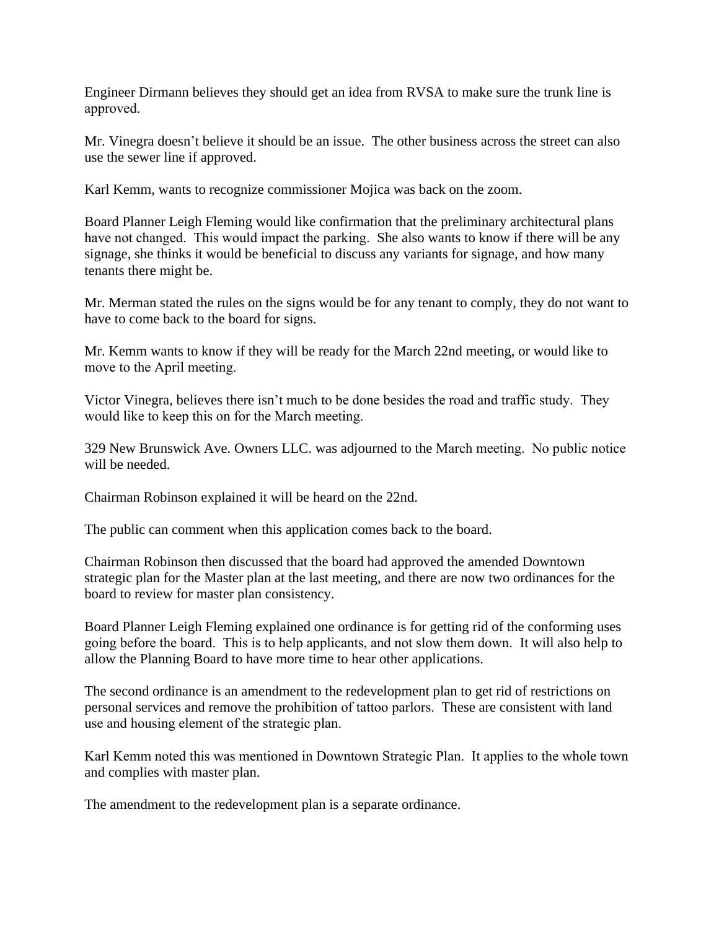Engineer Dirmann believes they should get an idea from RVSA to make sure the trunk line is approved.

Mr. Vinegra doesn't believe it should be an issue. The other business across the street can also use the sewer line if approved.

Karl Kemm, wants to recognize commissioner Mojica was back on the zoom.

Board Planner Leigh Fleming would like confirmation that the preliminary architectural plans have not changed. This would impact the parking. She also wants to know if there will be any signage, she thinks it would be beneficial to discuss any variants for signage, and how many tenants there might be.

Mr. Merman stated the rules on the signs would be for any tenant to comply, they do not want to have to come back to the board for signs.

Mr. Kemm wants to know if they will be ready for the March 22nd meeting, or would like to move to the April meeting.

Victor Vinegra, believes there isn't much to be done besides the road and traffic study. They would like to keep this on for the March meeting.

329 New Brunswick Ave. Owners LLC. was adjourned to the March meeting. No public notice will be needed.

Chairman Robinson explained it will be heard on the 22nd.

The public can comment when this application comes back to the board.

Chairman Robinson then discussed that the board had approved the amended Downtown strategic plan for the Master plan at the last meeting, and there are now two ordinances for the board to review for master plan consistency.

Board Planner Leigh Fleming explained one ordinance is for getting rid of the conforming uses going before the board. This is to help applicants, and not slow them down. It will also help to allow the Planning Board to have more time to hear other applications.

The second ordinance is an amendment to the redevelopment plan to get rid of restrictions on personal services and remove the prohibition of tattoo parlors. These are consistent with land use and housing element of the strategic plan.

Karl Kemm noted this was mentioned in Downtown Strategic Plan. It applies to the whole town and complies with master plan.

The amendment to the redevelopment plan is a separate ordinance.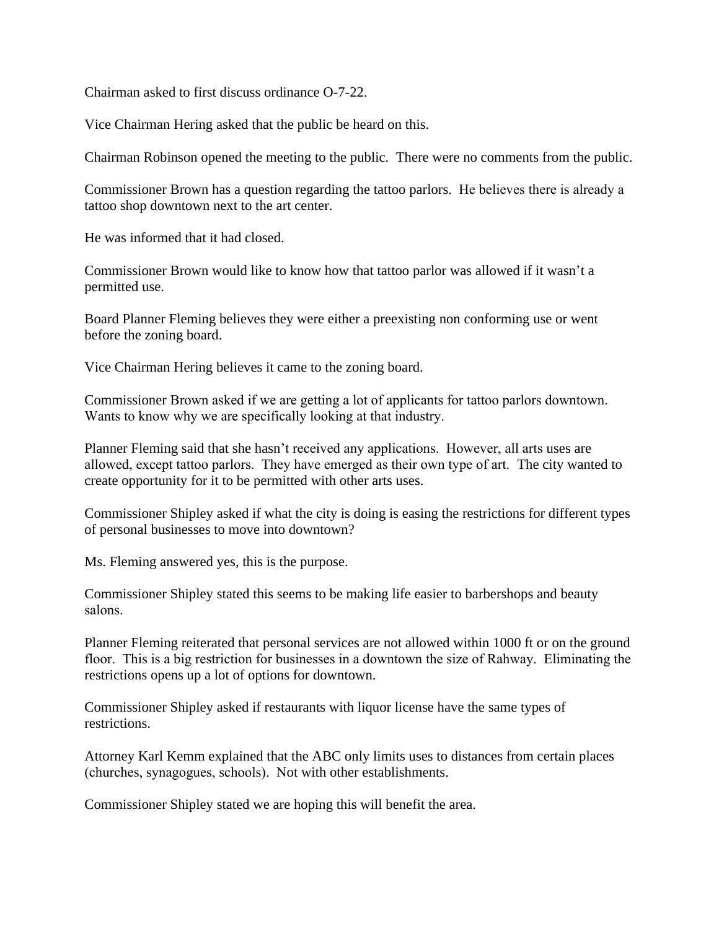Chairman asked to first discuss ordinance O-7-22.

Vice Chairman Hering asked that the public be heard on this.

Chairman Robinson opened the meeting to the public. There were no comments from the public.

Commissioner Brown has a question regarding the tattoo parlors. He believes there is already a tattoo shop downtown next to the art center.

He was informed that it had closed.

Commissioner Brown would like to know how that tattoo parlor was allowed if it wasn't a permitted use.

Board Planner Fleming believes they were either a preexisting non conforming use or went before the zoning board.

Vice Chairman Hering believes it came to the zoning board.

Commissioner Brown asked if we are getting a lot of applicants for tattoo parlors downtown. Wants to know why we are specifically looking at that industry.

Planner Fleming said that she hasn't received any applications. However, all arts uses are allowed, except tattoo parlors. They have emerged as their own type of art. The city wanted to create opportunity for it to be permitted with other arts uses.

Commissioner Shipley asked if what the city is doing is easing the restrictions for different types of personal businesses to move into downtown?

Ms. Fleming answered yes, this is the purpose.

Commissioner Shipley stated this seems to be making life easier to barbershops and beauty salons.

Planner Fleming reiterated that personal services are not allowed within 1000 ft or on the ground floor. This is a big restriction for businesses in a downtown the size of Rahway. Eliminating the restrictions opens up a lot of options for downtown.

Commissioner Shipley asked if restaurants with liquor license have the same types of restrictions.

Attorney Karl Kemm explained that the ABC only limits uses to distances from certain places (churches, synagogues, schools). Not with other establishments.

Commissioner Shipley stated we are hoping this will benefit the area.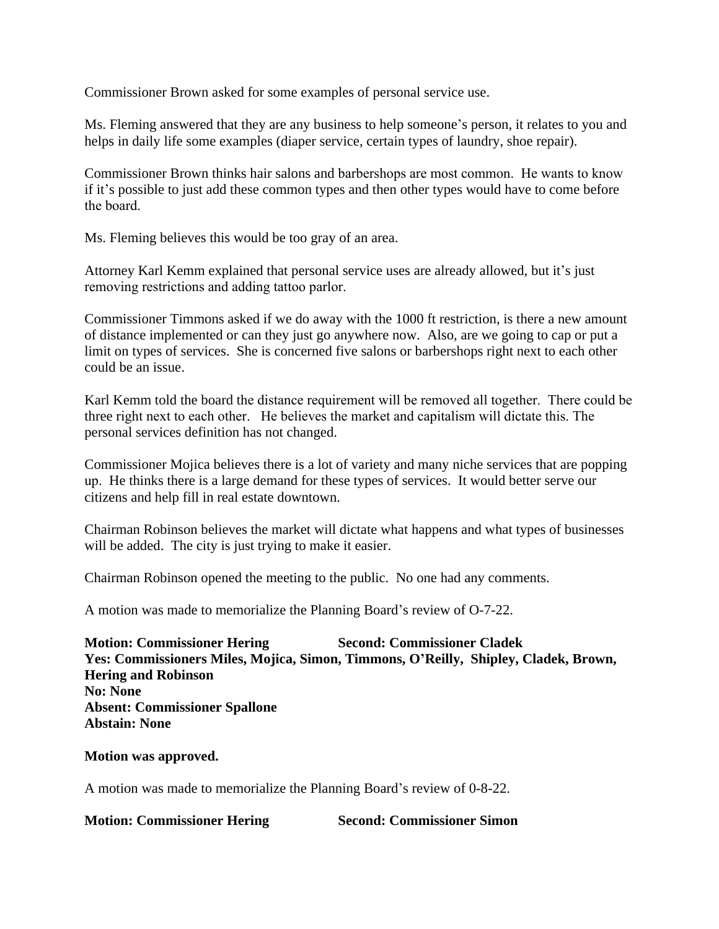Commissioner Brown asked for some examples of personal service use.

Ms. Fleming answered that they are any business to help someone's person, it relates to you and helps in daily life some examples (diaper service, certain types of laundry, shoe repair).

Commissioner Brown thinks hair salons and barbershops are most common. He wants to know if it's possible to just add these common types and then other types would have to come before the board.

Ms. Fleming believes this would be too gray of an area.

Attorney Karl Kemm explained that personal service uses are already allowed, but it's just removing restrictions and adding tattoo parlor.

Commissioner Timmons asked if we do away with the 1000 ft restriction, is there a new amount of distance implemented or can they just go anywhere now. Also, are we going to cap or put a limit on types of services. She is concerned five salons or barbershops right next to each other could be an issue.

Karl Kemm told the board the distance requirement will be removed all together. There could be three right next to each other. He believes the market and capitalism will dictate this. The personal services definition has not changed.

Commissioner Mojica believes there is a lot of variety and many niche services that are popping up. He thinks there is a large demand for these types of services. It would better serve our citizens and help fill in real estate downtown.

Chairman Robinson believes the market will dictate what happens and what types of businesses will be added. The city is just trying to make it easier.

Chairman Robinson opened the meeting to the public. No one had any comments.

A motion was made to memorialize the Planning Board's review of O-7-22.

**Motion: Commissioner Hering Second: Commissioner Cladek Yes: Commissioners Miles, Mojica, Simon, Timmons, O'Reilly, Shipley, Cladek, Brown, Hering and Robinson No: None Absent: Commissioner Spallone Abstain: None**

#### **Motion was approved.**

A motion was made to memorialize the Planning Board's review of 0-8-22.

**Motion: Commissioner Hering Second: Commissioner Simon**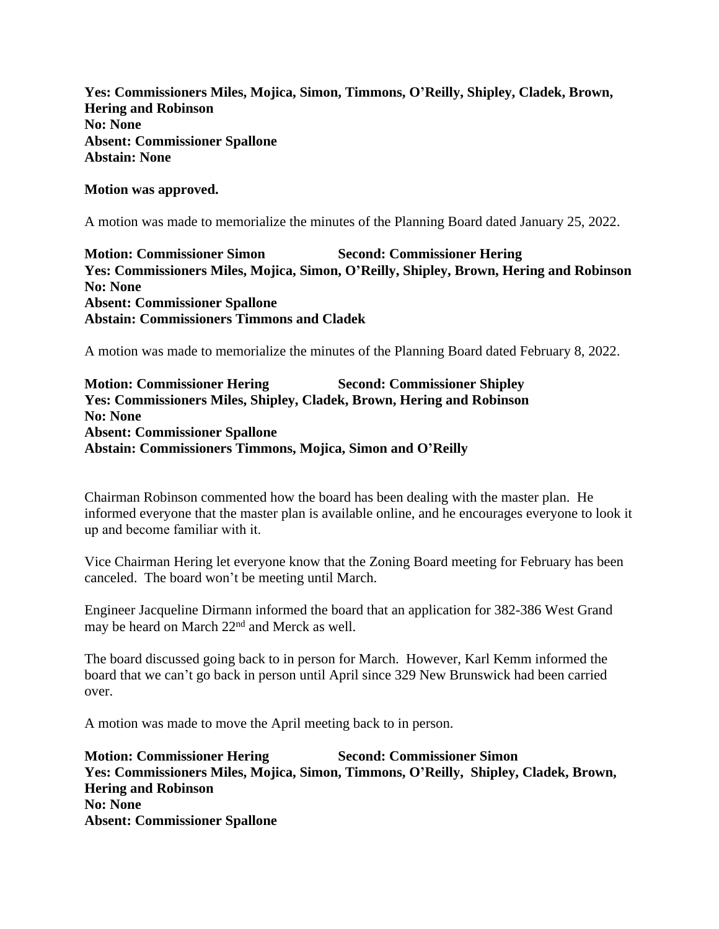**Yes: Commissioners Miles, Mojica, Simon, Timmons, O'Reilly, Shipley, Cladek, Brown, Hering and Robinson No: None Absent: Commissioner Spallone Abstain: None**

### **Motion was approved.**

A motion was made to memorialize the minutes of the Planning Board dated January 25, 2022.

**Motion: Commissioner Simon Second: Commissioner Hering Yes: Commissioners Miles, Mojica, Simon, O'Reilly, Shipley, Brown, Hering and Robinson No: None Absent: Commissioner Spallone Abstain: Commissioners Timmons and Cladek**

A motion was made to memorialize the minutes of the Planning Board dated February 8, 2022.

**Motion: Commissioner Hering Second: Commissioner Shipley Yes: Commissioners Miles, Shipley, Cladek, Brown, Hering and Robinson No: None Absent: Commissioner Spallone Abstain: Commissioners Timmons, Mojica, Simon and O'Reilly**

Chairman Robinson commented how the board has been dealing with the master plan. He informed everyone that the master plan is available online, and he encourages everyone to look it up and become familiar with it.

Vice Chairman Hering let everyone know that the Zoning Board meeting for February has been canceled. The board won't be meeting until March.

Engineer Jacqueline Dirmann informed the board that an application for 382-386 West Grand may be heard on March 22<sup>nd</sup> and Merck as well.

The board discussed going back to in person for March. However, Karl Kemm informed the board that we can't go back in person until April since 329 New Brunswick had been carried over.

A motion was made to move the April meeting back to in person.

**Motion: Commissioner Hering Second: Commissioner Simon Yes: Commissioners Miles, Mojica, Simon, Timmons, O'Reilly, Shipley, Cladek, Brown, Hering and Robinson No: None Absent: Commissioner Spallone**